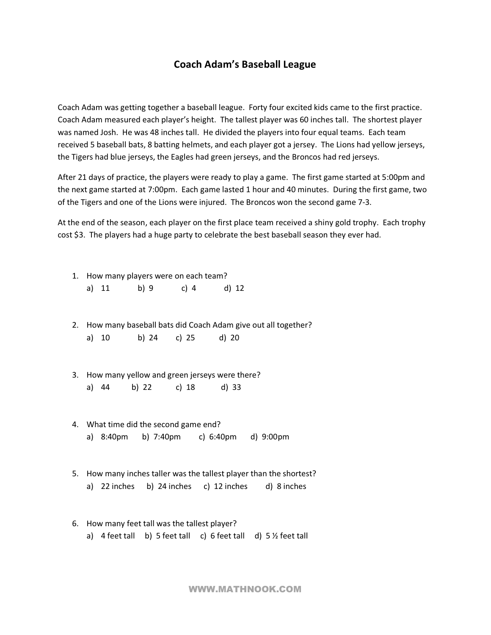## **Coach Adam's Baseball League**

Coach Adam was getting together a baseball league. Forty four excited kids came to the first practice. Coach Adam measured each player's height. The tallest player was 60 inches tall. The shortest player was named Josh. He was 48 inches tall. He divided the players into four equal teams. Each team received 5 baseball bats, 8 batting helmets, and each player got a jersey. The Lions had yellow jerseys, the Tigers had blue jerseys, the Eagles had green jerseys, and the Broncos had red jerseys.

After 21 days of practice, the players were ready to play a game. The first game started at 5:00pm and the next game started at 7:00pm. Each game lasted 1 hour and 40 minutes. During the first game, two of the Tigers and one of the Lions were injured. The Broncos won the second game 73.

At the end of the season, each player on the first place team received a shiny gold trophy. Each trophy cost \$3. The players had a huge party to celebrate the best baseball season they ever had.

- 1. How many players were on each team?
	- a) 11 b) 9 c) 4 d) 12
- 2. How many baseball bats did Coach Adam give out all together? a) 10 b) 24 c) 25 d) 20
- 3. How many yellow and green jerseys were there? a) 44 b) 22 c) 18 d) 33
- 4. What time did the second game end? a) 8:40pm b) 7:40pm c) 6:40pm d) 9:00pm
- 5. How many inches taller was the tallest player than the shortest? a) 22 inches b) 24 inches c) 12 inches d) 8 inches
- 6. How many feet tall was the tallest player? a)  $4$  feet tall b) 5 feet tall c) 6 feet tall d) 5  $\frac{1}{2}$  feet tall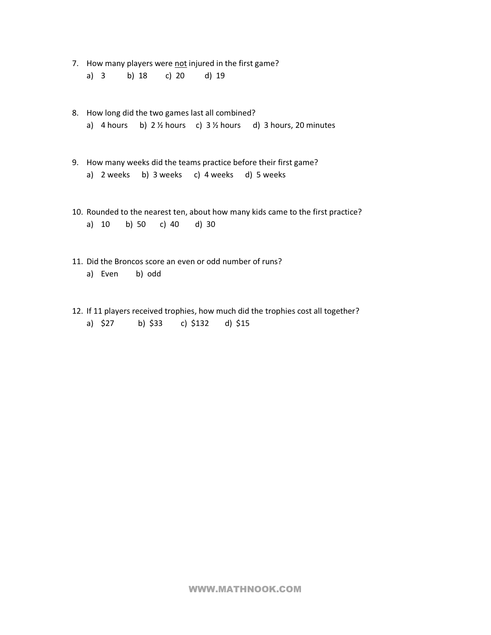7. How many players were not injured in the first game? a) 3 b) 18 c) 20 d) 19

- 8. How long did the two games last all combined? a) 4 hours b)  $2\frac{1}{2}$  hours c)  $3\frac{1}{2}$  hours d) 3 hours, 20 minutes
- 9. How many weeks did the teams practice before their first game? a) 2 weeks b) 3 weeks c) 4 weeks d) 5 weeks
- 10. Rounded to the nearest ten, about how many kids came to the first practice? a) 10 b) 50 c) 40 d) 30
- 11. Did the Broncos score an even or odd number of runs? a) Even b) odd
- 12. If 11 players received trophies, how much did the trophies cost all together? a) \$27 b) \$33 c) \$132 d) \$15